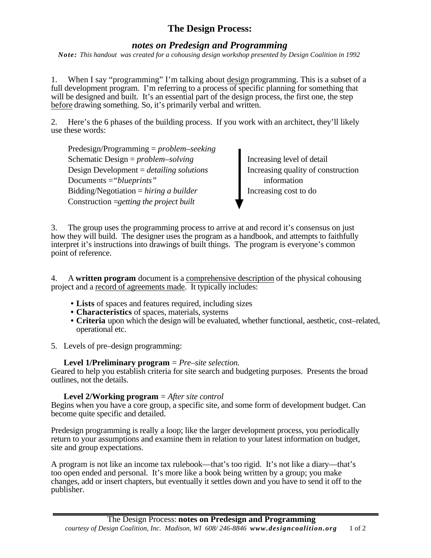## **The Design Process:**

## *notes on Predesign and Programming*

*Note: This handout was created for a cohousing design workshop presented by Design Coalition in 1992* 

1. When I say "programming" I'm talking about design programming. This is a subset of a full development program. I'm referring to a process of specific planning for something that will be designed and built. It's an essential part of the design process, the first one, the step before drawing something. So, it's primarily verbal and written.

2. Here's the 6 phases of the building process. If you work with an architect, they'll likely use these words:

Predesign/Programming = *problem–seeking* Schematic Design = *problem–solving* Increasing level of detail Design Development = *detailing solutions* Increasing quality of construction Documents = "*blueprints*" information Bidding/Negotiation = *hiring a builder* Increasing cost to do Construction =*getting the project built*

3. The group uses the programming process to arrive at and record it's consensus on just how they will build. The designer uses the program as a handbook, and attempts to faithfully interpret it's instructions into drawings of built things. The program is everyone's common point of reference.

4. A **written program** document is a comprehensive description of the physical cohousing project and a record of agreements made. It typically includes:

- **• Lists** of spaces and features required, including sizes
- **• Characteristics** of spaces, materials, systems
- **• Criteria** upon which the design will be evaluated, whether functional, aesthetic, cost–related, operational etc.
- 5. Levels of pre–design programming:

## **Level 1/Preliminary program** = *Pre–site selection.*

Geared to help you establish criteria for site search and budgeting purposes. Presents the broad outlines, not the details.

## **Level 2/Working program** = *After site control*

Begins when you have a core group, a specific site, and some form of development budget. Can become quite specific and detailed.

Predesign programming is really a loop; like the larger development process, you periodically return to your assumptions and examine them in relation to your latest information on budget, site and group expectations.

A program is not like an income tax rulebook—that's too rigid. It's not like a diary—that's too open ended and personal. It's more like a book being written by a group; you make changes, add or insert chapters, but eventually it settles down and you have to send it off to the publisher.